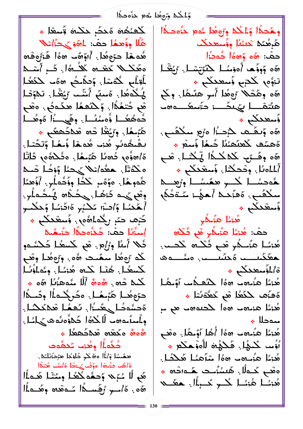وَلِمَكُمْ وَرُوهُا مُوم حزَّوحِهَ

كْحْنُعُة هُدِهُمْ مْكْدَة تُسْعْلُ \* هُلًا وِذُهِهَا حقَّ: لِمَوْيَ حَزَّاتِهِ هُدها دَرُوهُا. أَاوُهُ موهُا فَرْزُوڤُه ہ مَنْکُلا کُعْدہ کْلُے ہُ ا کُے اُسْکُ لَمُقِلَّمٍ ۚ كُنْهَمْاً. وَكَلَّمُكُمْ ۞ كَلَّكُمْ لِلْكَفَـٰلِ لْمُحْدَهُا. هَمنّ أَنتُم رَّيْقُا. ثَلاَوُدًا هُم حٌتمُمُّاً. وَحَلَّفُهُا هَكُومُ. وَهُم خُوهُعُم أَوْومُنُسْلَ. وِفَي أَلْمَوْمُسْلَمْ هُبُمما. وَرُغْفًا دُه مَدْحُمِعُبِ \* ىگىۋەئو ھُزىي ھُەھْل زُىمُلْ ۆتكْتىل. ەُ/ھۆْي دُھْرُا هُرُسُلْ. وشَكْلُوُي كَاتْلَا ه نْكُتْلْ. حَقّْدَاتْكَ جَحْبًا وَوْحُـلْ صْـكْ هُّدوجُا. دَوۡقَٮ ۚ كَلَٰطَ وَوَّثُدَابُر. ٱوۡصَدَا . بِاَمشُنْ & اَمْشَرِ . لِــٰهَمْ صَرِّ بِـهُ بِـ ٱۿۜڬٮُڶٳ؋ٚٳڡۥۛڗۥۦێڴڹؚٛڔٷٮػڹٵ؋ٚڂػڛ كْرْمَا حَبْرِ رِكْمَاهُورٍ. وَسَعْدَكْمٍ \* إستُطْ حقَّ: حَدَّوَحِهَا حَبَّصُهَ ثُلا أَمِلًا وِرُامٍ. هُم كَسِعُدَ كَكْسُمو كُمْ رُوهُا مَعْنَدَ ۞ه. ورُوهُا وقب كْسِعْا. هُنْا ݣُرُه هُزْمًا. وِثْمَاؤْنُـا لَكْتُمْ شَهْءٍ، وَهُوَ أَلْلَا مُنُوعُونُكُمْ وَهُو \* حوّوهُــا هُبُـهُــا. وحُـوجٌــولَما وصَّــدًا ەَحشەكل بېھْداْ. ئەھْل شىھىدىكى). وِلْمِيزُوهِ فَالْكُلُّهُ الْكُلُّةُ وَاللَّهِ بِالْكِلِّ ره می مکلو می ملک به منابعه به حُثُه أُل وهُن مُحَفَّدت همُسُا وْالْمَا هِ مَكْرِ خَاوْخًا هَرْجُنُائِهِ. كَمْتُمْ حَتَّمَاهُ الْمَحْدَثُ كَيْتِحْلُ كَأَمَّتْ هُنَدَّا هُم لَا سُرْبِي وَحِمْهِ كُعُما وِمَتْنَا هُدِمَاً الْمَدِّ وَاسِعٍ رُكِّسِياً مُّدْهَدِهِ وِهَٰدِهَا

وهُجِدًا وَلِمَحْدِ وَوَمِعًا شَوْمٍ حَزْوَجِدًا هُرمُكُمْ تَعْبُلُ وَوُسْعِيْكُمْ حقّ: 60 وَ90) حُمْحَا هَٰهِ وُوِوَّها اُهوَمُـا ۖ كَمُوَّيْسًا ﴾ وَيُغْلَل تَزَوُّوْمَ كَلَائِمٍ وَّسْعَدَكُمْ \* هُه ومُصْلاً رُوهُا أُس هِنُمَا. وكُم مەتقىسا بىرىكىرى لىكشى ۆمىقىنگىق ھ هُه وُلَقَّفَ جَادَ اُ هُ وَلَّا مَكْفَبٍ. ەّھسّە للائىقنىلا ئىملا ؤمىغر م هُه وِهَــرَى لَكُمْكُمُّا لَمِكْمًا. مْبِ أَلْمَلْمَادِياً. وَحَكَمَاً. وَمَعْدَكُم \* هُوجسُنا كُتِ مِنْ مُنْسَا وِرُهِنَا ملَكْفَبِ. ةَفَنِّدَهُ أَهْلُ: مَنْقَضُلُهِ ۇمقىگى ؛ هُذِيْا هَنُبِكُمْ حقَّ: هُـٰٓ; مُـُّهُمْ هُمْ وَ مُلْحَدِهِ هُنسًا هَنُسكُمٍ شَي ثَكْلُه ۚ كَحْسٍ. ھقكىسىدە كىتىسىد. ەشسەھ ةالمؤسعدكم \* هُزئل هُزمه وهُ الْمُتَعَمِّسَ أَوُّمِعُمَّا هَ هَ بَها هُمْ لَمَعْتَهُ وَ اللَّهُ وَ اللَّهُ عَلَيْهِ مِنْ اللَّهُ وَ الرَّحْمَانَ وَ الرَّحْمَ هُزْمًا هزيهت هوا للحدوف هم م مدحلل ھ هُذِيُا هِنُدهِ = هِهُا أَهْا أَوُحِمًا. وَهُم أَوُّ حَكِيمًا. هَكَيْرَة لِأُوزْعِكَمْ \* هُزئا هزُمِه هؤا مْلَاهِمَا هُكْمًا. ەھْم كْتەلُّا، ھْتىنْزْنىت ھْتەتقە \* هُزئُما هُزئُما كُمْ كُمْبِهْلْ. هِعَمْلِلا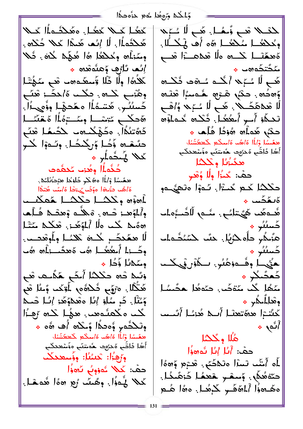وَلِمَكُمْ وَرُوهُا مُوم حزَّوحِهَ

كَعْبَا كَبِيلًا كَعْبَا. وَهُكْتُواْ كَبِيلًا هَكِدُومُا. لَا إِنُم هَٰىٰدًا كَلا دُكْلَ . وسَنهْأَاه وحُكْفًا هُ| هُوَيْكَ كُنْ . ثَلا إِنَّمَا تَأْرُفٍ وُهِنُّوهُوهِ ﴾ كْلُرُهُ! وِلَا ظُلَّا وَّسعَده و هُم مُّهُتْدًا وِهْنَى لَمْدَهِ. ئَكْسَدُ أَاحْضَـٰزْ ثَعْلَـٰمِ حُسِبُبْ . هُتَنفُماْ مَعْجِهْا وِوْْيِ أَلْ هَحكَبِ حُتِمْسًا وِمُسْتَوْمَاْ وَحْمَدْسَا كَةَتْتُلَاْ. ەكْهْكْدەت لاڭىغْدا شْتَع حلَّىقْتُ وَّجًا وَرِيْكُمُّا. وِنَـٰءوٖۤا لَكُـٰر ىُمْلا يُمِحُمْلُو \* كُنُه لَما وهُن، كَحْقُوب همَّسُا وْالْمَا دَيْكُر كَاوْكَا هرِّجَانُاتُهَ.<br>كَاهُد حَبَّدةا دَوِّضٌ كِجَرَّا كَاسُد هُتمَّا لمووَّر وتحشيا حككيا حَمكيب وِٱلمَوْهَــٰ: قَامَتُ وَهَـٰهَا مَا اللَّهُ وَهَـٰهَا هَـٰلَهَا «ەُما گُما ەلْا *أ*لمَ<sup>ِ</sup>قُومْ. ھَكُلا مَتْل لًا محَمَّدَـٰہِ كُلُّفَ كَلْسًا مِلَّوِقْدَـٰب. وحَـــزلم أَععُعُــــل هُــد هُ هدَّــــزلَم هُـد ومكمائل ؤُجَل ﴾ وَنَبِهِ دُهِ حَكْلُهُمْ أَمَنًى هَٰذُنِ هُوَ ھَٰنَگْلَا. ہُرۡہِی شَکۡہُہٖ لَمّٰہَکَٮ ہُنَا مَی وَعْتْلَ. كَيْ سُلُوْ إِنَّا وَهُدْوَوَهُوْ إِنَّا كَتْبَدْ لَّكُتْ مَكْعَنُوهِبْ. هِجُبَا لَكُنَّهِ رَجِيزًا وِتَكْتُمِرٍ وُءِدَدًا وُتِكْلُهِ أُفَّ هُءٌ \* هعَسْدُا وْٱلْمَا هَاهُم هَاسْكُمْ كَعْجَمْتُمْا. أَهُا دَّاظَّے ہُدرُود حُمتنَے ہوَ تَعددَکے وِرَّهِۥُّا: كَتْتُلًا: وِوَّسْعَنْكُتْ حقَّ: كَلَّلْا شُوْوِبُ لَهُوَوْل كْمَلَا ۖ فَوَٰا ۖ وَهُنَّكَ ۚ رُورَ هَا أَهْدَهَا ۖ .

لِكَــلا شَــع وُجِمْـا. هَــع لَلْـ يُــتِرِيهِ وكُلْحُمُـا مُلْحُمُـا هُو أُف لِمُكْـالِ. ەَھكْتْمَا ݣُــْ ھ مْلَا شْدَاعْتْزَا شْبَ مُکتَکَمُوں \*<br>هَـــم لَا سُــَمْ لا أَیْحُــم سُــوْم شَکَــوه وَهَدُه . حَتَّى هُـوَهِ ۖ هُـمَـٰهُ الْعَلَـٰه لًا هَدَهَّڪَــلا . هَــع لَّا سُــَدِيد وُاصْـع تَحَكَّفِ أَسِرٍ أَعْقَقُلُ. ثَكْلُه خُدماؤُه حكْرٌ هُداْه هُوْدًا فُاْت ﴾ .<br>ه**مَ**سُ*ا وْالْمَا هَاهُد هَامِيكُم كَعِغَتَيْهَا.<br>أَهُا قَاضَّع مَحَرُوف هُويتَيْنِ وَفَيْقِعِدَكْنِي* هگُنُّرُبُّا وتَكَلُّبُا حفَ: كُنزًا وِلًا وُهْدِ حككا كم كبثاً. تُموَّا مِنْصَيْحَةٍ ە<br>ئەسكىسە **ئ**ە هُــوهُــه مِــهُـــهِ . مـنُــمِ للصَّــوَ مــهُــم ك**ُس**لاُب ∻ هَ ۡمَٰلاَہِ ۚ داُه کٰٓئِلّ . حمّد کمّندُے اب كَسْلُو \*<br>هَزُّيْ | وَقُــدَوْدُلُو. لــكَاوْرِنْيَكْــد كْمْشْبْلْو \* مَعُل كُم مَةحَب. حمَّوهُا حَصَّما |وقدالمُكُب \* كَتُنبْهِ المُشَاهَبْ اللَّهِ مُنْ اللَّهُ اللَّهُ اللَّهُ اللَّهُ اللَّهُ مِنْ اللَّهُ وَالَّهُ الْ انٌ مِ مِنْ هُلَّا وكْكَار حقَّ: أَبُلَ إِبُلَ نُوهِؤُا لَم أَشَّى تَسْأَلُ وَتَذَكَّبُ. هُـْرَمْ وَهُوَا أَ حنّەھُكُلْ: ۆممھُـر ھُعمُـل حُزمَّىحُـلْ. ەھّەۋُا آلمۇھُــو كْرِهُــا. ەھُا ھُــع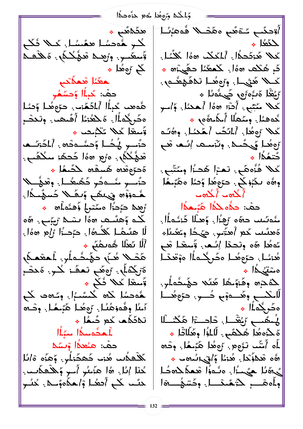وَلِمَكُمْ وَرُوهُا هُو حَزَّوهِمَا

محكّكم \* كُـرِ هُـُعصُـل همُسُـل كَـلا فَكُـحِ قُمطُم و وُرْهِكُمْ شَوْكُكُمْ . هَلْلُـْفَكُمْ **کے <sub>گ</sub>وھُا ∻** معكئا شمكتب حقَّ: كَرِمًّا وَحَسَّمُو هُّەھى كَبِلًا ٱلمُكَمَّن-. حرِّہِهُـا وَّحْـا ەكرېڭەلُّا. ەَ كْمُزْمَا أُهُتْعَبْ. وِتْحْشْرِ وَّسِعْلِ كَمِلاً كَنْكُرْمِكَ \* حَزْبٍ وُحُبًا وَحِسْبَدَدِهِ ﴾ ٱلمُحْزَبُ ه تَعَهُّكُكُمْ. ورُع 30\$ كُحعٌ; سَكْفَبٍ. ەدەۋدە ھىيقە ككىغا . دَّىب مْــەدُر دُهُىھُــا. وِهْدُـــلا ـمُــدوْرَه في مصْل جَمْعة صَمْرَ مِنْ الْمَــدُّلِ. رُهِهِ حَرَجَٰزًا مِنْتَمِهِ وَكَتَمَلَّهُ ﴾ كُمْ وُهِنَيْتِ رَوْءُ لِشَيْدِ رَجِّبٍ. رَوْهِ لًا هِنَّمَا ﴾ لاَ هُ ا. حَ ْحَبُّا رُامِ هِ هَا. أَلَّا تَعْلَلْ هُءْبِهُمْ ﴾ هُصْلًا هُـَٰٓىٰ حَهَّىصُـملُو. لمُعشَعِـكَمِ ةَرَكْمُلَّهِ. رُوهُم تَعفَّ كُبر. ەَحصَّ وَّسطَ كَلا ثُكْل ﴾ هُوصمُل كُلُّ كَمْسُمُ}. وَسُلافٌ كُلُّ أَمِلًا وِقُودَهُنُا. رُوهُا هَزَمِهُا. وِحْـ ثلاثكُلُم كُم شُمُلُ ﴾ الْمَدْمِنْدُا مِنْذَا حقَّ: هنُعدُا وَسَيْدَ *َلْأَهِ*دُكَ هُزَكَ حُهِجَٰزَلُمٍ. وَهَزَه 16 مُ حُمْلَ إِبَلَ. هَٰا هَ مَنْ أُسِرٍ وَجَلَاهِكَاتٍ. حنَّـب كُـم أُحعُّـا وْاهِـكَاهُوَّـــــــا. خُنُــو

أَوْحِكُبِ سُقَعُبِ مِمَّصْلًا فَوَهَزُسًا لحَكْعُل \* كْمِلا هُوْدُهِمَا. ٱلْمُكْكُبِ 1،0\$ كَلَائِل. دَ هُدُه، ها الله هلا الله عنها كَـــلا هَنْيَــا. ورُوهُــا تَــْفَـهِعْــو، \* لَأَعْلَىٰ مِنْ وَأُمِنَّاهُ الْمَثَلَّ كملا مَنْتِبِي. أَحْوْر 160 أحمدًا. وَأَسو يُدهدُا. ومَكَمُلاً أَيكُمِيهُومِ \* كَمْلا رُوهُا. ٱلْمَنْكُ ٱلْعَٰمْدَا. وِهُنَه رَوْهُمَا وَيَحْمَدْ. وِتْرْسَعَهِ إِنَّمَهُ هُمْ دٌ الْمُمَالِ لكلا فُنُوهَى. تعبْرا هُدْرًا مِنْتَبِي. وِهُو بِكَوْكُلِ. حَرَّوهُا وَجِبًا وَهُبُمُا  $\frac{1}{2}$ ایمان آبلگ حق: حِدُّه لِمَمَّا هُزَيْمِهُا مْدَمَّىك دەَه رُهزًا. وَهنَّا دُرْجُوماً. ەُھلَىك كَم أَهتَنِ حَكَمَّا وَعَقَبَاءُ كَمِعًا هُمْ وَتَحَدَّا إِنُـم، وَّحَمَّا هُم هُنسًا. حرِّهِهُـا هكْمِيْـْـهاْ هِوْتَعْـْـا \* Kjiîo لْكُلْامْ وَقُوْمِعُا هُنَلًا حَهُنَّدَمُارٍ. لَاعْنَـــــر وقَــــــوم كُــــــر. حرَّهِ قُــــا ەخرېگەڭل ھ لْمَشَبِ رَبُقْـا . دَادــَ ْا هَكْنَــْ لَل هُ جُرْوهُا هُجْعُبٍ . لَّالِمُوْا وِهَٰلَاتْنَا \* لَمْهِ أَنْثُمْ نَزْوِهِ. رُوهُا هُزُمُهْا. وِدْهِ رَّةُهِ هُدْأَوْكُلُّ. هُٰذِمُّا وَأَوْسَلِكُوهُ \* لَّكَ هَيْكُمْ وَشَوْءُ هُدَهُ مَدْ الْمَرْدَةِ مِنْ اوأەھب حَرْهُيڤل. وكتيهُــــــوْا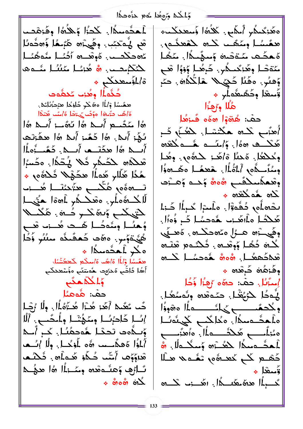وَلِمَكُمْ وَرُوهُا هُوم حَزَّوجُهُ!

لْمَحْمَىمْاً. كَدُرَا وَجَلَاهُا وِفَرْهْمَت هُم يُوتَحِبُ. وِفَيْءَهِ هَبُهُمْ وَهُوَهُمْ لَهُ كەدىككىب، ەُوھْدە أَدُّسًا مُدَهُسًا ة/اؤْمعدكُم \* كُنْمَلًا وهُنِ مُحفَّدت همَّسُا وَ*ا*لُمَّا وَهَ كُلِّ كَاوْكُمْ هَرِّدَٰزُلْكُمْ.<br>وَ*اهُد حَبُّدةَ أُ وَوَّحُد حُبَّرْهَا* وَ*اسُّد هُت*َدَ*ّا* ھُا مَکْسُمِ اُسِی ھُا نَھُ۔ اُسِی ھُا نُهُ: أَبِهِ. وَٰا كُمُ: أَبِهِ وَٰا مِكْ;ِنْتِ أَسِيم هُا هدَّسْـم أَسي). كَمَّسَزُّه أَا تَعَلَّكُمُ لَأَصَدُرٍ ثَلا يُتَّكُلُّ. وَضَبَرُا هُدُا هُلَارٖ هُداُ! هکُهُلا ثَلاَةُهٖ \* تسەۋەر ھُنگىب ھتَىدىشلى ھُسىزم لَّاجْدِيُّهِ) وَتَعَلَّكُمْ لَمُوهَا حَتَّى كَتَبِيكُمْ مَرْسَةَ شَرْكُمْ دُمِيةٍ فِي مَكْسِيلًا لِلْمُسْتَلَمَدِينَ وُهسُا وِمُدَدُّا هَـد هُــز، هُــع ھُنٌةمُسٍ. ە۞ت كَـعقَـدُه مىلُلُو وَّكْـا ەڭر آھڭەمىكا ÷ همَّسُلُ وَٱلْمَا هَاهُمَا هَامِيكُمْ لَكْمَعَتَبْدَا. أَهُا دَّاتَـٰٰٓٓٔ هَدْوَت هُوسَنِّی وَفُسْعدكـٚب وَالْمَدْهَب حق: هُوميْل كُ ، تَعَكَّـدُ أَهَٰذٍ هُــْزَا هُــتَوَٰهَـلًا . وِلًا رُضِّـل إِنَّــل كَلْحَرُنْــل وِمَحْجُنْـَـل وِلْمِحْمـــي ٱلْل وَسِدُّہٖت تَحتَنَلُ هُوَجِعُتُنَلِ. كَبِنَ أَسْلا أَمْلَوْا هَ هِكُسِيب ۞ه بِلُوْجُبَا. وِلَا إِنْسِ ھْدۇوُھ أَمْتُب ڪُلُو ھُـولُمِ ۽ شَكْلُـف ئَـارُڢٍ وُهِنُـوهُدهِ وِمَـٰٓ;اُا هُا هِجُـُـِهُ  $\therefore$  gog of

ەھْبْكىمْر آىكى . كْلَاھْ أَمىعىكْمە همَّسُل وِسۡهُـب كُــهِ كُمۡهَدُعَ بِ ەْھكىم سَتەتْمە ۆسۈسلار. سَمْعًا مَّةَصَّا وِهَٰٓئُمَـٰهُمِ ۚ. كَٰٓبِهُـا وَۚوَٰٓءُا ۚ هَـٰٓءِ وَّقْسُ: ەَقْتُلْ شَيْءَ هَلْتُكُلُّهَ: حَبْر وَّمثَدَا وِحُثَّمَثَّدَلُّهِ ﴾ هُلَّا وَرَجْزًا حقَّ: هُوَّةٍ الله هُ هُمْ هُمْ أهنَى لَده مكْتسْا. لهُنّي تَهِ هَكْمُ دَامِي وَالْمَ مُ مُ كَفَرُه ومُحْظُرُ. هَجْلُ هَ/هُد: حَدُّوي. وِهُـل وِسُلَسِيْهِ إِلْمَاثَةُ أَلِّ هُعِمُا وَهُدُووًا وقعكمكفُب ةُوةً وَجَد وَعَنْزَد  $\vert$ 20 a  $\angle$ 20 بِدْهِلُومٍ دُهُوْرًا. وَلَمِيْرًا كَبِلًا دَّجَا هَٰٓدُكُمَا وَٰٓاءَ هُوَدَمَٰٓا كَبِرٍ وُوَٰٓاً. وقي آه مئ متحده . ه هنگ لُّكْ هُ صُمُّلٌ وُوِتْعُدِ . شُكْسُوم تْعَ*تْ*رُو هُدْهُهُدًا. وهُ وَهُ هُدَهُ لَمْ يَ  $\bullet$   $\sim$   $\sim$   $\sim$   $\sim$   $\sim$   $\sim$ |إسرَّىًّا. حقَّ: حوَّة وَقِرًّا وَّجًا لِمُعطُ لِإِنْهُمْا. حمّدهُ وتُعمُعُا. وكحصّب حكايًة فسمال وهوؤا مَاْهِدُےممَاْلِ. مَكَلِّكُمْ كَيْمَةُسُلْ ەننأىسى ھُلائىسىمال ەاھنىسى لْمَدَّــدِمِيدًا لِكَفَــٰٓ; وَمِيكَــدُلَّا فِي الْهَ كَتْصَـْعْ كَلْمْ كَعْـْدَةُهِ، تَكْـُمْكْ هِـلْهُ وَّسعْد و كُبِراً مِدْهُمِعَتِيهَا. اهْتَ: كَبْ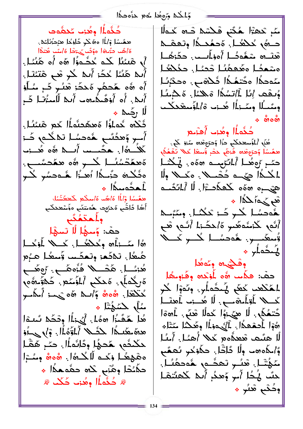وَلِمَكُمْ وَرُوهُا مُوم حزَّوجاً

كُنْمَلًا وهُنِ مُحفَّدت همَّسُا وْاٰ اَٰ هَ كُلْ كَاوْكَا هرِّجَانُا مَّا۔<br>16هَـٰ حَبَّـدَا هوَّضًـٰ حَبَّحًا 16هَنَـٰ هَـٰدَا ﴾ هَسُنُا ۖ كَـٰه عُشُّوٰٓا ۖ هُو أُو هُنْـًا . أَىم مَنْنَا دُدّ: أَىم كُر مْعِ مْتَنْدَا. اُه ۞ه هُحصُرٖ هُدحَٰ; شَنُرٖ کَـٰڔ مُـُـأَوْ أَبِيهِ. أَهِ أَوْقَيمُ مِنْ أَبِيهِ لَا مُنْزَمِّ لَمِنْ أَمْرِ لًا رجَّى \* خُكْرَه ۚ كَماؤُا هُمفَعِنُماُا كُم هَننُا . أُسِرِ وَهدُنَّى هُءَدسُا لَلْأَسْمَى كُــٰ; كلاً وهُ اللَّهُ مُعْسَمِين أَوْسِيمَ وَهُوَ هُسْءَب ەَھمَتَسُلُسا كُلْبِ ۞ه ھمَّتسَّبِ. ەڭڭىغ دَّىـدًا اُھــرَٰا ھَــەدىسُو كْــو a Kuçên Î همَّسُا وْالْمَا هَاهُم هَاسْكُمْ كَهْهَتْتَنَا. أَهُا دَٰاظَی هَدوَت هُمتنّی هزُمْعدكَب ولمعتمئم حقَّ: وَسَهُّا لَّا تَسَهَّا هُا مُنْ أَهُو وِكُلْكُمْ إِنَّكُمْ أَوْكُمْ ا هُبْعُلَ. لَكَلَّمَ: وِلْعَكَّبِبِ وَّسْعُدًا هَـرُمْ هُنْ الْمَصْلا فُنُوهُبِ وَوَهُب ەرگەكى. ەَدكىم ٱلمُؤْمَّد مَدَّوَّمْ مُ مُخْلَقَا. قَادَةً وَٱلْكُلُّهُ قَادَتِهِمْ: أَمَكْسِر سُمَالِ لَكَمُكُمْ \* هدهُ حَكْمِيدًا لِلصَّلا أَمْلَوَّهُ أَلْهِ وَلِي حِدَّوْ حكْدُهِ هُحهُا وِدَٰانُهاًا. حَبْ هَٰقَـا ەغدىكى زىمك للىكىغان ۋەۋە ومئىزا حكْنُحْلَ وِهْنَى ݣُوه حقَّوهكُمْ \* & حُثَّه\$ وهُن، حُكْم &

مِّ بَعَثَرا هُنَّ فَكْسُمْ دُرٍّ كَدَلًا حدهُ وَحَكْمًا. هُجِعُجَدُا وِتَعِمْدُ هْنْــٰه عْـفُدُطْ أُهوٰلُمــٰـب حكَرْهُــا ەشمئا ەھّقىرا تىلا. تىلاھا مُدَدَٰدُا وَثَنَعُـدُا ثَـٰذُوْبٍ. وَدَبْنُـلُ وُبِّقِعَا إِيَّا ۖ أَاتِسُكُا وَ حَيْاً . وَحَيْنَا ومِمَسْلًا ومِمْ زِمًا هُـزِبٍ وَالْمُؤْمِنِقَدِكْبِبِ ့ တဝတ حُذُه أُل وهُزِب أُهْزَىع ِ هُنَّى ٱلمُؤْسِعِدِكُمِ ۚ ذَا وُحَرَّةٍهُ هُ مَنْهُ ۚ كَلَّى .<br>هِمُسُا وُحَرَّةٍهُمْ هُوَمُ احْثَرِ وَسَعْا كَلا اتَّقَمُكَى حَمَّـ ۚ رُوهُــا ٱلْمُرْمِــهِ مِهْمٍ ۚ وَلَكْتَــا لمككا كهبه حُصْبِين وحُصَلاً ولَه ههم وه مَه للعلَم الله المتواجد الله عنه مستوى ه المكاتم كم مه هُوصُل كُـرِ كَـ; تَعُكُـلَ. وِمُبُرَــدُ آئُم كُنْبُمُعَمْسِ هَا حَضَنْهَا آَئُم هُم وُّىمَعَّى ِ بِ ـ هُەدىسُـــا كُــــو كَـــــلا لَّحْمَلُو \* وقثيه ونمفا حقَّ: فَلَمْتَ رَةُهِ لَمُؤْكَّدَهُ وِقَّرْوِيقُا لمَكْلَات كَتَبَ إِنَّدْهَلُنِ. وِنَدَوْا كُلِّ كَـــــلا ــأَوّلُـــرْهَــــــى . لَا هُــــزما ــأهـتـــا حَتمُكُو. لَا مِجْجِزُوا حُدلًا مْنَى. أَ30 رَّةُوا لِمُحَمَّدُ الْمُحَمَّدُ الْمُحَمَّدُ مَثَلًا \* لًا هنَّب مُعذَّوم كَلا أَهنَا. أَسُل وَٱلْكَاهَافِ وَلَٰٓا ثَاتَنَا. حَكَّوْنُكُو نُعْمَّى مَّهُتْما. هَنُــو تَعَشَّــه هُءَحَمُنُـا. حلًى هُحُا أَمرٍ وَهذُ أَلمَ كَهسَّمَا |وحُكْمِ هْنُو \*